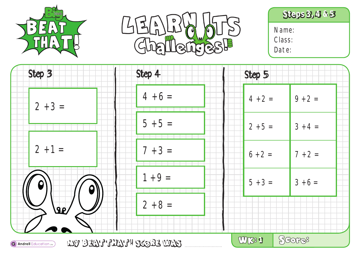





| Step 3                               | Step 4                 | Step 5    |           |  |
|--------------------------------------|------------------------|-----------|-----------|--|
| $2 + 3 =$                            | $4 + 6 =$              | $4 + 2 =$ | $9 + 2 =$ |  |
|                                      | $5 + 5 =$              | $2 + 5 =$ | $3 + 4 =$ |  |
| $2 + 1 =$                            | $7 + 3 =$              | $6 + 2 =$ | $7 + 2 =$ |  |
|                                      | $1 + 9 =$              | $5 + 3 =$ | $3 + 6 =$ |  |
| <b>SP/</b>                           | $2 + 8 =$              |           |           |  |
| <sup>(3)</sup> Andrell Education Ltd | WY BEATTEATH SCORE WAS | WK81      | SGOP38    |  |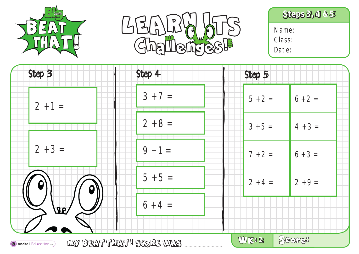





| Step 3                                                   | Step 4    | Step 5    |           |
|----------------------------------------------------------|-----------|-----------|-----------|
| $2 + 1 =$                                                | $3 + 7 =$ | $5 + 2 =$ | $6 + 2 =$ |
|                                                          | $2 + 8 =$ | $3 + 5 =$ | $4 + 3 =$ |
| $2 + 3 =$                                                | $9 + 1 =$ | $7 + 2 =$ | $6 + 3 =$ |
|                                                          | $5 + 5 =$ |           |           |
|                                                          |           | $2 + 4 =$ | $2 + 9 =$ |
| <b>SP</b>                                                | $6 + 4 =$ |           |           |
| WY BEATTEATH SCORE WAS<br><b>a</b> Andrell Education Ltd |           | UJKS 2    | SGOP38    |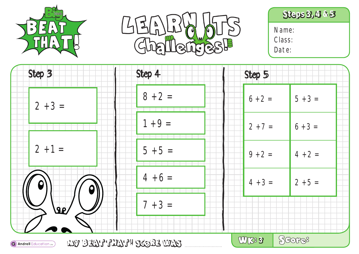





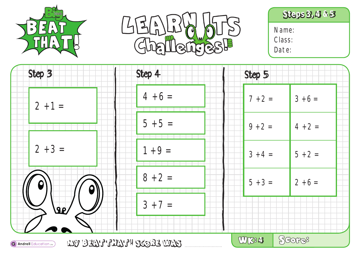





Step 3 Step 4 Step 5  $4 + 6 =$  $7 + 2 = 3 + 6 =$  $2 + 1 =$  $5 + 5 =$  $9 + 2 = 4 + 2 =$  $2 + 3 =$  $1 + 9 =$  $3 + 4 = 5 + 2 =$  $8 + 2 =$  $5 + 3 = 2 + 6 =$  $3 + 7 =$  $\sqrt{36}$ SGOP38 **4** 

**MY BEAT THAT! SCORE WAS a) Andrell** Education Ltd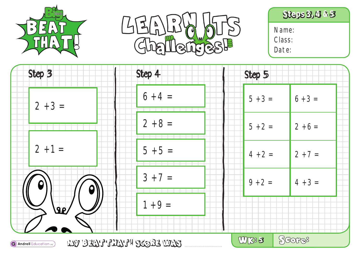





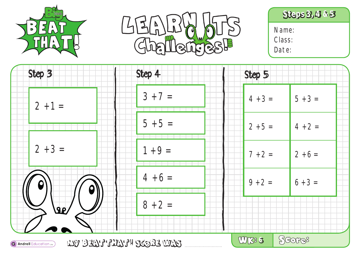





Class: Date:

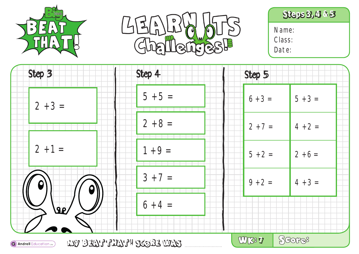





Class: Date:

| Step 3                                                                      | Step 4                 | Step 5                 |  |
|-----------------------------------------------------------------------------|------------------------|------------------------|--|
| $2 + 3 =$                                                                   | $5 + 5 =$              | $6 + 3 =$<br>$5 + 3 =$ |  |
|                                                                             | $2 + 8 =$              | $2 + 7 =$<br>$4 + 2 =$ |  |
| $2 + 1 =$                                                                   | $1 + 9 =$              | $5 + 2 =$<br>$2 + 6 =$ |  |
|                                                                             | $3 + 7 =$              | $9 + 2 =$<br>$4 + 3 =$ |  |
| <b>SP</b>                                                                   | $6 + 4 =$              |                        |  |
| $\left( \bigcirc \right)$ Andrell Education $\left( \left. \right) \right)$ | WY BEATTEATH SCORE WAS | SGOP38<br>WK38 7       |  |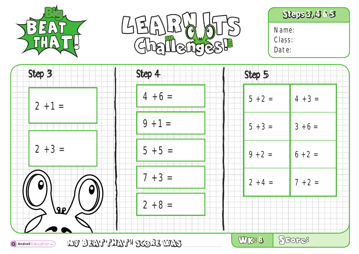





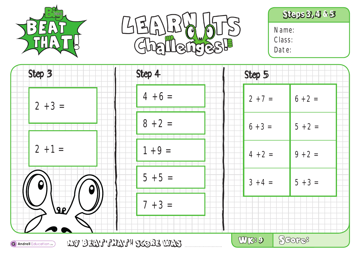





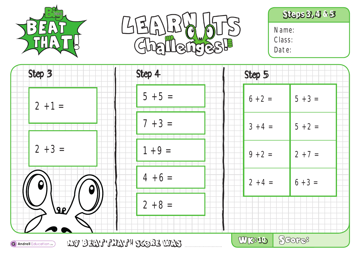